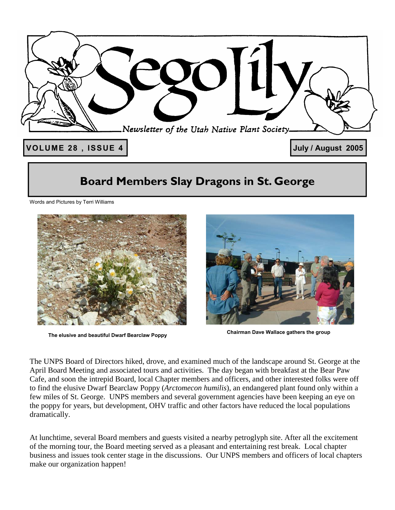

## **Board Members Slay Dragons in St. George**

Words and Pictures by Terri Williams



**Chairman Dave Wallace gathers the group The elusive and beautiful Dwarf Bearclaw Poppy** 



The UNPS Board of Directors hiked, drove, and examined much of the landscape around St. George at the April Board Meeting and associated tours and activities. The day began with breakfast at the Bear Paw Cafe, and soon the intrepid Board, local Chapter members and officers, and other interested folks were off to find the elusive Dwarf Bearclaw Poppy (*Arctomecon humilis*), an endangered plant found only within a few miles of St. George. UNPS members and several government agencies have been keeping an eye on the poppy for years, but development, OHV traffic and other factors have reduced the local populations dramatically.

At lunchtime, several Board members and guests visited a nearby petroglyph site. After all the excitement of the morning tour, the Board meeting served as a pleasant and entertaining rest break. Local chapter business and issues took center stage in the discussions. Our UNPS members and officers of local chapters make our organization happen!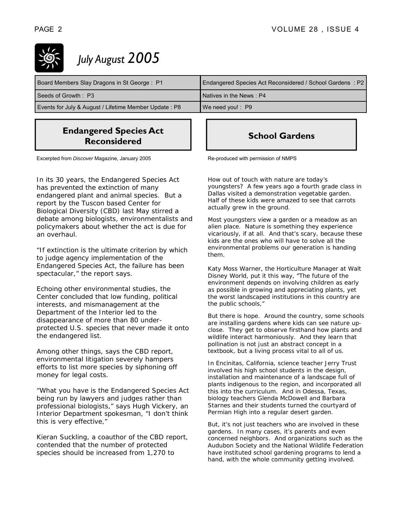*July August 2005*

| Board Members Slay Dragons in St George: P1           | Endangered Species Act Reconsidered / School Gardens: P2 |
|-------------------------------------------------------|----------------------------------------------------------|
| Seeds of Growth: P3                                   | Natives in the News: P4                                  |
| Events for July & August / Lifetime Member Update: P8 | $\sqrt{\phantom{a}}$ We need you!: P9                    |

#### **Endangered Species Act Reconsidered**

Excerpted from *Discover* Magazine, January 2005

In its 30 years, the Endangered Species Act has prevented the extinction of many endangered plant and animal species. But a report by the Tuscon based Center for Biological Diversity (CBD) last May stirred a debate among biologists, environmentalists and policymakers about whether the act is due for an overhaul.

"*If extinction is the ultimate criterion by which to judge agency implementation of the Endangered Species Act, the failure has been spectacular*," the report says.

Echoing other environmental studies, the Center concluded that low funding, political interests, and mismanagement at the Department of the Interior led to the disappearance of more than 80 underprotected U.S. species that never made it onto the endangered list.

Among other things, says the CBD report, environmental litigation severely hampers efforts to list more species by siphoning off money for legal costs.

"What you have is the Endangered Species Act being run by lawyers and judges rather than professional biologists," says Hugh Vickery, an Interior Department spokesman, "I don't think this is very effective,"

Kieran Suckling, a coauthor of the CBD report, contended that the number of protected species should be increased from 1,270 to

### **School Gardens**

Re-produced with permission of NMPS

How out of touch with nature are today's youngsters? A few years ago a fourth grade class in Dallas visited a demonstration vegetable garden. Half of these kids were amazed to see that *carrots actually grew in the ground.* 

Most youngsters view a garden or a meadow as an alien place. Nature is something they experience vicariously, if at all. And that's scary, because these kids are the ones who will have to solve all the environmental problems our generation is handing them.

Katy Moss Warner, the Horticulture Manager at Walt Disney World, put it this way, "The future of the environment depends on involving children as early as possible in growing and appreciating plants, *yet the worst landscaped institutions in this country are the public schools,"* 

But there *is* hope. Around the country, some schools are installing gardens where kids can see nature upclose. They get to observe firsthand how plants and wildlife interact harmoniously. And they learn that pollination is not just an abstract concept in a textbook, but a living process vital to all of us.

In Encinitas, California, science teacher Jerry Trust involved his high school students in the design, installation and maintenance of a landscape full of plants indigenous to the region, and incorporated all this into the curriculum. And in Odessa, Texas, biology teachers Glenda McDowell and Barbara Starnes and their students turned the courtyard of Permian High into a regular desert garden.

But, it's not just teachers who are involved in these gardens. In many cases, it's parents and even concerned neighbors. And organizations such as the Audubon Society and the National Wildlife Federation have instituted school gardening programs to lend a hand, with the whole community getting involved.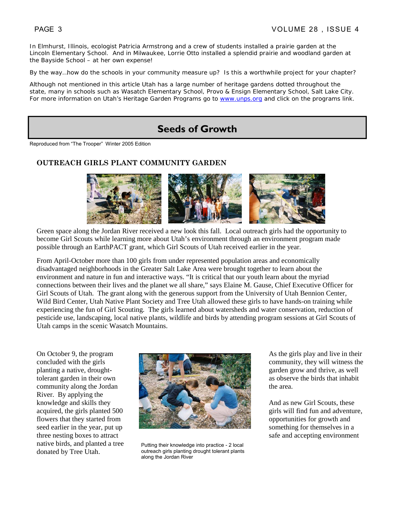In Elmhurst, Illinois, ecologist Patricia Armstrong and a crew of students installed a prairie garden at the Lincoln Elementary School. And in Milwaukee, Lorrie Otto installed a splendid prairie and woodland garden at the Bayside School – at her own expense!

By the way…how do the schools in your community measure up? Is this a worthwhile project for your chapter?

Although not mentioned in this article Utah has a large number of heritage gardens dotted throughout the state, many in schools such as Wasatch Elementary School, Provo & Ensign Elementary School, Salt Lake City. For more information on Utah's Heritage Garden Programs go to www.unps.org and click on the programs link.

### **Seeds of Growth**

Reproduced from "The Trooper" Winter 2005 Edition

#### **OUTREACH GIRLS PLANT COMMUNITY GARDEN**



Green space along the Jordan River received a new look this fall. Local outreach girls had the opportunity to become Girl Scouts while learning more about Utah's environment through an environment program made possible through an EarthPACT grant, which Girl Scouts of Utah received earlier in the year.

From April-October more than 100 girls from under represented population areas and economically disadvantaged neighborhoods in the Greater Salt Lake Area were brought together to learn about the environment and nature in fun and interactive ways. "It is critical that our youth learn about the myriad connections between their lives and the planet we all share," says Elaine M. Gause, Chief Executive Officer for Girl Scouts of Utah. The grant along with the generous support from the University of Utah Bennion Center, Wild Bird Center, Utah Native Plant Society and Tree Utah allowed these girls to have hands-on training while experiencing the fun of Girl Scouting. The girls learned about watersheds and water conservation, reduction of pesticide use, landscaping, local native plants, wildlife and birds by attending program sessions at Girl Scouts of Utah camps in the scenic Wasatch Mountains.

On October 9, the program concluded with the girls planting a native, droughttolerant garden in their own community along the Jordan River. By applying the knowledge and skills they acquired, the girls planted 500 flowers that they started from seed earlier in the year, put up three nesting boxes to attract native birds, and planted a tree donated by Tree Utah.



Putting their knowledge into practice - 2 local outreach girls planting drought tolerant plants along the Jordan River

As the girls play and live in their community, they will witness the garden grow and thrive, as well as observe the birds that inhabit the area.

And as new Girl Scouts, these girls will find fun and adventure, opportunities for growth and something for themselves in a safe and accepting environment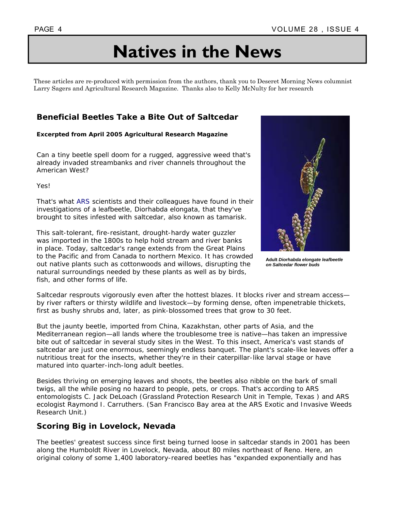# **Natives in the News**

These articles are re-produced with permission from the authors, thank you to Deseret Morning News columnist Larry Sagers and Agricultural Research Magazine. Thanks also to Kelly McNulty for her research

#### **Beneficial Beetles Take a Bite Out of Saltcedar**

#### **Excerpted from April 2005 Agricultural Research Magazine**

Can a tiny beetle spell doom for a rugged, aggressive weed that's already invaded streambanks and river channels throughout the American West?

Yes!

That's what ARS scientists and their colleagues have found in their investigations of a leafbeetle, *Diorhabda elongata,* that they've brought to sites infested with saltcedar, also known as tamarisk.

This salt-tolerant, fire-resistant, drought-hardy water guzzler was imported in the 1800s to help hold stream and river banks in place. Today, saltcedar's range extends from the Great Plains to the Pacific and from Canada to northern Mexico. It has crowded out native plants such as cottonwoods and willows, disrupting the natural surroundings needed by these plants as well as by birds, fish, and other forms of life.



**Adult** *Diorhabda elongate leafbeetle on Saltcedar flower buds* 

Saltcedar resprouts vigorously even after the hottest blazes. It blocks river and stream access by river rafters or thirsty wildlife and livestock—by forming dense, often impenetrable thickets, first as bushy shrubs and, later, as pink-blossomed trees that grow to 30 feet.

But the jaunty beetle, imported from China, Kazakhstan, other parts of Asia, and the Mediterranean region—all lands where the troublesome tree is native—has taken an impressive bite out of saltcedar in several study sites in the West. To this insect, America's vast stands of saltcedar are just one enormous, seemingly endless banquet. The plant's scale-like leaves offer a nutritious treat for the insects, whether they're in their caterpillar-like larval stage or have matured into quarter-inch-long adult beetles.

Besides thriving on emerging leaves and shoots, the beetles also nibble on the bark of small twigs, all the while posing no hazard to people, pets, or crops. That's according to ARS entomologists C. Jack DeLoach (Grassland Protection Research Unit in Temple, Texas ) and ARS ecologist Raymond I. Carruthers. (San Francisco Bay area at the ARS Exotic and Invasive Weeds Research Unit.)

#### **Scoring Big in Lovelock, Nevada**

The beetles' greatest success since first being turned loose in saltcedar stands in 2001 has been along the Humboldt River in Lovelock, Nevada, about 80 miles northeast of Reno. Here, an original colony of some 1,400 laboratory-reared beetles has "expanded exponentially and has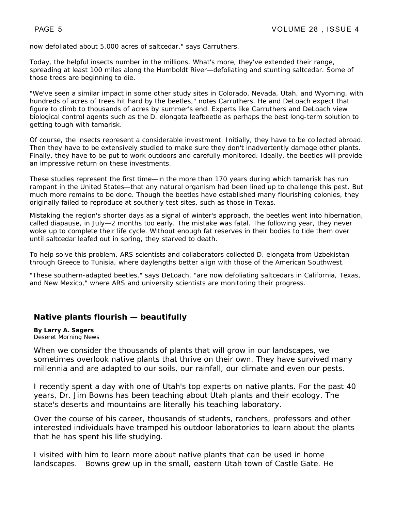now defoliated about 5,000 acres of saltcedar," says Carruthers.

Today, the helpful insects number in the millions. What's more, they've extended their range, spreading at least 100 miles along the Humboldt River—defoliating and stunting saltcedar. Some of those trees are beginning to die.

"We've seen a similar impact in some other study sites in Colorado, Nevada, Utah, and Wyoming, with hundreds of acres of trees hit hard by the beetles," notes Carruthers. He and DeLoach expect that figure to climb to thousands of acres by summer's end. Experts like Carruthers and DeLoach view biological control agents such as the *D. elongata* leafbeetle as perhaps the best long-term solution to getting tough with tamarisk.

Of course, the insects represent a considerable investment. Initially, they have to be collected abroad. Then they have to be extensively studied to make sure they don't inadvertently damage other plants. Finally, they have to be put to work outdoors and carefully monitored. Ideally, the beetles will provide an impressive return on these investments.

These studies represent the first time—in the more than 170 years during which tamarisk has run rampant in the United States—that any natural organism had been lined up to challenge this pest. But much more remains to be done. Though the beetles have established many flourishing colonies, they originally failed to reproduce at southerly test sites, such as those in Texas.

Mistaking the region's shorter days as a signal of winter's approach, the beetles went into hibernation, called diapause, in July—2 months too early. The mistake was fatal. The following year, they never woke up to complete their life cycle. Without enough fat reserves in their bodies to tide them over until saltcedar leafed out in spring, they starved to death.

To help solve this problem, ARS scientists and collaborators collected *D. elongata* from Uzbekistan through Greece to Tunisia, where daylengths better align with those of the American Southwest.

"These southern-adapted beetles," says DeLoach, "are now defoliating saltcedars in California, Texas, and New Mexico," where ARS and university scientists are monitoring their progress.

#### **Native plants flourish — beautifully**

**By Larry A. Sagers** Deseret Morning News

When we consider the thousands of plants that will grow in our landscapes, we sometimes overlook native plants that thrive on their own. They have survived many millennia and are adapted to our soils, our rainfall, our climate and even our pests.

I recently spent a day with one of Utah's top experts on native plants. For the past 40 years, Dr. Jim Bowns has been teaching about Utah plants and their ecology. The state's deserts and mountains are literally his teaching laboratory.

Over the course of his career, thousands of students, ranchers, professors and other interested individuals have tramped his outdoor laboratories to learn about the plants that he has spent his life studying.

I visited with him to learn more about native plants that can be used in home landscapes. Bowns grew up in the small, eastern Utah town of Castle Gate. He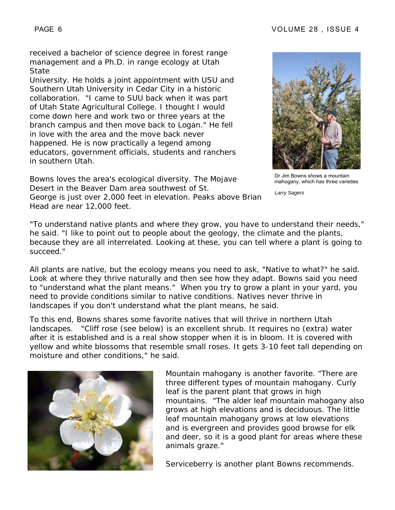received a bachelor of science degree in forest range management and a Ph.D. in range ecology at Utah **State** 

University. He holds a joint appointment with USU and Southern Utah University in Cedar City in a historic collaboration. "I came to SUU back when it was part of Utah State Agricultural College. I thought I would come down here and work two or three years at the branch campus and then move back to Logan." He fell in love with the area and the move back never happened. He is now practically a legend among educators, government officials, students and ranchers in southern Utah.

Bowns loves the area's ecological diversity. The Mojave Desert in the Beaver Dam area southwest of St. George is just over 2,000 feet in elevation. Peaks above Brian Head are near 12,000 feet.



Dr Jim Bowns shows a mountain mahogany, which has three varieties

*Larry Sagers* 

"To understand native plants and where they grow, you have to understand their needs," he said. "I like to point out to people about the geology, the climate and the plants, because they are all interrelated. Looking at these, you can tell where a plant is going to succeed."

All plants are native, but the ecology means you need to ask, "Native to what?" he said. Look at where they thrive naturally and then see how they adapt. Bowns said you need to "understand what the plant means." When you try to grow a plant in your yard, you need to provide conditions similar to native conditions. Natives never thrive in landscapes if you don't understand what the plant means, he said.

To this end, Bowns shares some favorite natives that will thrive in northern Utah landscapes. "Cliff rose (see below) is an excellent shrub. It requires no (extra) water after it is established and is a real show stopper when it is in bloom. It is covered with yellow and white blossoms that resemble small roses. It gets 3-10 feet tall depending on moisture and other conditions," he said.



Mountain mahogany is another favorite. "There are three different types of mountain mahogany. Curly leaf is the parent plant that grows in high mountains. "The alder leaf mountain mahogany also grows at high elevations and is deciduous. The little leaf mountain mahogany grows at low elevations and is evergreen and provides good browse for elk and deer, so it is a good plant for areas where these animals graze."

Serviceberry is another plant Bowns recommends.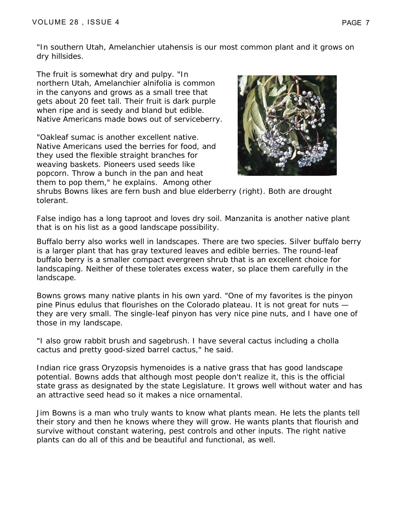"In southern Utah, *Amelanchier utahensis* is our most common plant and it grows on dry hillsides.

The fruit is somewhat dry and pulpy. "In northern Utah, *Amelanchier alnifolia* is common in the canyons and grows as a small tree that gets about 20 feet tall. Their fruit is dark purple when ripe and is seedy and bland but edible. Native Americans made bows out of serviceberry.

"Oakleaf sumac is another excellent native. Native Americans used the berries for food, and they used the flexible straight branches for weaving baskets. Pioneers used seeds like popcorn. Throw a bunch in the pan and heat them to pop them," he explains. Among other



shrubs Bowns likes are fern bush and blue elderberry (right). Both are drought tolerant.

False indigo has a long taproot and loves dry soil. Manzanita is another native plant that is on his list as a good landscape possibility.

Buffalo berry also works well in landscapes. There are two species. Silver buffalo berry is a larger plant that has gray textured leaves and edible berries. The round-leaf buffalo berry is a smaller compact evergreen shrub that is an excellent choice for landscaping. Neither of these tolerates excess water, so place them carefully in the landscape.

Bowns grows many native plants in his own yard. "One of my favorites is the pinyon pine Pinus edulus that flourishes on the Colorado plateau. It is not great for nuts they are very small. The single-leaf pinyon has very nice pine nuts, and I have one of those in my landscape.

"I also grow rabbit brush and sagebrush. I have several cactus including a cholla cactus and pretty good-sized barrel cactus," he said.

Indian rice grass Oryzopsis hymenoides is a native grass that has good landscape potential. Bowns adds that although most people don't realize it, this is the official state grass as designated by the state Legislature. It grows well without water and has an attractive seed head so it makes a nice ornamental.

Jim Bowns is a man who truly wants to know what plants mean. He lets the plants tell their story and then he knows where they will grow. He wants plants that flourish and survive without constant watering, pest controls and other inputs. The right native plants can do all of this and be beautiful and functional, as well.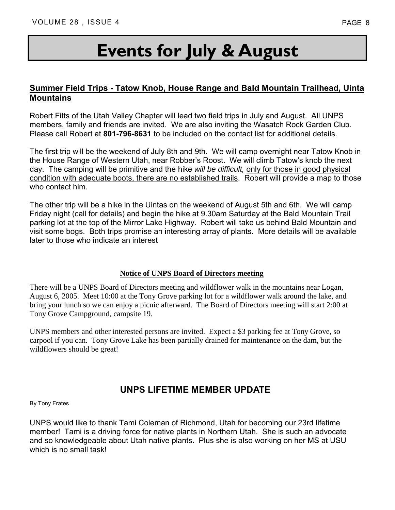# **Events for July & August**

#### **Summer Field Trips - Tatow Knob, House Range and Bald Mountain Trailhead, Uinta Mountains**

Robert Fitts of the Utah Valley Chapter will lead two field trips in July and August. All UNPS members, family and friends are invited. We are also inviting the Wasatch Rock Garden Club. Please call Robert at **801-796-8631** to be included on the contact list for additional details.

The first trip will be the weekend of July 8th and 9th. We will camp overnight near Tatow Knob in the House Range of Western Utah, near Robber's Roost. We will climb Tatow's knob the next day. The camping will be primitive and the hike *will be difficult,* only for those in good physical condition with adequate boots, there are no established trails. Robert will provide a map to those who contact him.

The other trip will be a hike in the Uintas on the weekend of August 5th and 6th. We will camp Friday night (call for details) and begin the hike at 9.30am Saturday at the Bald Mountain Trail parking lot at the top of the Mirror Lake Highway. Robert will take us behind Bald Mountain and visit some bogs. Both trips promise an interesting array of plants. More details will be available later to those who indicate an interest

#### **Notice of UNPS Board of Directors meeting**

There will be a UNPS Board of Directors meeting and wildflower walk in the mountains near Logan, August 6, 2005. Meet 10:00 at the Tony Grove parking lot for a wildflower walk around the lake, and bring your lunch so we can enjoy a picnic afterward. The Board of Directors meeting will start 2:00 at Tony Grove Campground, campsite 19.

UNPS members and other interested persons are invited. Expect a \$3 parking fee at Tony Grove, so carpool if you can. Tony Grove Lake has been partially drained for maintenance on the dam, but the wildflowers should be great!

### **UNPS LIFETIME MEMBER UPDATE**

By Tony Frates

UNPS would like to thank Tami Coleman of Richmond, Utah for becoming our 23rd lifetime member! Tami is a driving force for native plants in Northern Utah. She is such an advocate and so knowledgeable about Utah native plants. Plus she is also working on her MS at USU which is no small task!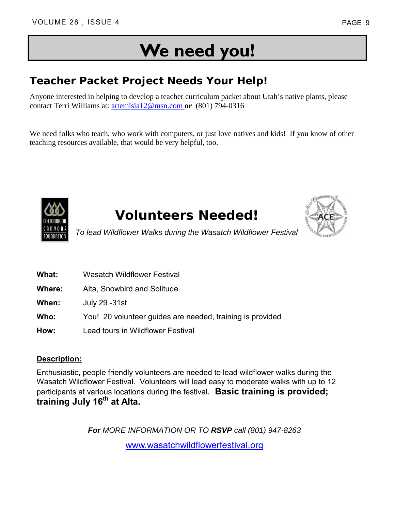# **We need you!**

## **Teacher Packet Project Needs Your Help!**

Anyone interested in helping to develop a teacher curriculum packet about Utah's native plants, please contact Terri Williams at: artemisia12@msn.com **or** (801) 794-0316

We need folks who teach, who work with computers, or just love natives and kids! If you know of other teaching resources available, that would be very helpful, too.



# **Volunteers Needed!**



*To lead Wildflower Walks during the Wasatch Wildflower Festival*

- **What:** Wasatch Wildflower Festival
- **Where:** Alta, Snowbird and Solitude
- **When:** July 29 -31st
- **Who:** You! 20 volunteer guides are needed, training is provided
- **How:** Lead tours in Wildflower Festival

#### **Description:**

Enthusiastic, people friendly volunteers are needed to lead wildflower walks during the Wasatch Wildflower Festival. Volunteers will lead easy to moderate walks with up to 12 participants at various locations during the festival. **Basic training is provided; training July 16th at Alta.** 

*For MORE INFORMATION OR TO RSVP call (801) 947-8263*

www.wasatchwildflowerfestival.org